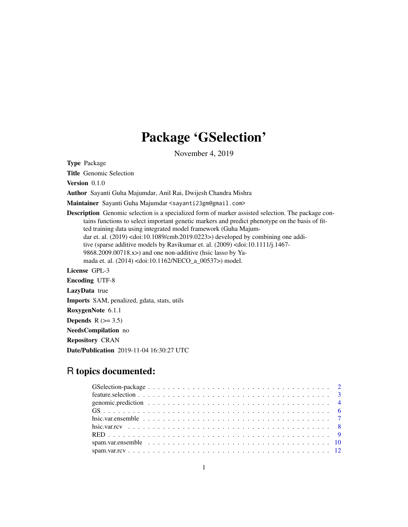# Package 'GSelection'

November 4, 2019

Type Package

Title Genomic Selection

Version 0.1.0

Author Sayanti Guha Majumdar, Anil Rai, Dwijesh Chandra Mishra

Maintainer Sayanti Guha Majumdar <sayanti23gm@gmail.com>

Description Genomic selection is a specialized form of marker assisted selection. The package contains functions to select important genetic markers and predict phenotype on the basis of fitted training data using integrated model framework (Guha Majumdar et. al. (2019) <doi:10.1089/cmb.2019.0223>) developed by combining one additive (sparse additive models by Ravikumar et. al. (2009) <doi:10.1111/j.1467- 9868.2009.00718.x>) and one non-additive (hsic lasso by Yamada et. al. (2014) <doi:10.1162/NECO\_a\_00537>) model.

License GPL-3

Encoding UTF-8 LazyData true Imports SAM, penalized, gdata, stats, utils RoxygenNote 6.1.1 Depends  $R$  ( $>= 3.5$ ) NeedsCompilation no Repository CRAN

Date/Publication 2019-11-04 16:30:27 UTC

# R topics documented: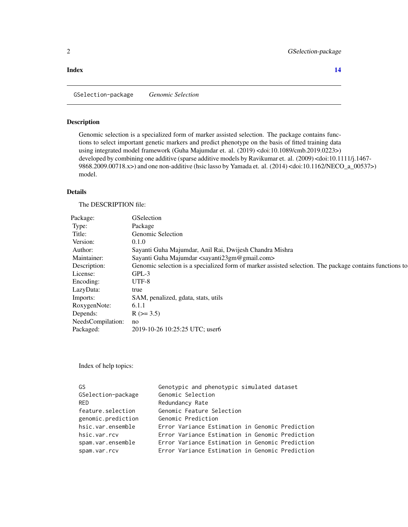#### <span id="page-1-0"></span>**Index** 2008 **[14](#page-13-0)**

GSelection-package *Genomic Selection*

#### Description

Genomic selection is a specialized form of marker assisted selection. The package contains functions to select important genetic markers and predict phenotype on the basis of fitted training data using integrated model framework (Guha Majumdar et. al. (2019) <doi:10.1089/cmb.2019.0223>) developed by combining one additive (sparse additive models by Ravikumar et. al. (2009) <doi:10.1111/j.1467-9868.2009.00718.x>) and one non-additive (hsic lasso by Yamada et. al. (2014) <doi:10.1162/NECO\_a\_00537>) model.

#### Details

The DESCRIPTION file:

| Package:             | GSelection                                                                                              |
|----------------------|---------------------------------------------------------------------------------------------------------|
| Type:                | Package                                                                                                 |
| Title:               | Genomic Selection                                                                                       |
| Version:             | 0.1.0                                                                                                   |
| Author:              | Sayanti Guha Majumdar, Anil Rai, Dwijesh Chandra Mishra                                                 |
| Maintainer:          | Sayanti Guha Majumdar <sayanti23gm@gmail.com></sayanti23gm@gmail.com>                                   |
| Description:         | Genomic selection is a specialized form of marker assisted selection. The package contains functions to |
| License:             | $GPL-3$                                                                                                 |
| Encoding:            | UTF-8                                                                                                   |
| LazyData:            | true                                                                                                    |
| Imports:             | SAM, penalized, gdata, stats, utils                                                                     |
| RoxygenNote:         | 6.1.1                                                                                                   |
| Depends:             | $R$ ( $> = 3.5$ )                                                                                       |
| NeedsCompilation: no |                                                                                                         |
| Packaged:            | 2019-10-26 10:25:25 UTC; user6                                                                          |
|                      |                                                                                                         |

Index of help topics:

| GS                 | Genotypic and phenotypic simulated dataset      |
|--------------------|-------------------------------------------------|
| GSelection-package | Genomic Selection                               |
| <b>RED</b>         | Redundancy Rate                                 |
| feature.selection  | Genomic Feature Selection                       |
| genomic.prediction | Genomic Prediction                              |
| hsic.var.ensemble  | Error Variance Estimation in Genomic Prediction |
| hsic.var.rcv       | Error Variance Estimation in Genomic Prediction |
| spam.var.ensemble  | Error Variance Estimation in Genomic Prediction |
| spam.var.rcv       | Error Variance Estimation in Genomic Prediction |
|                    |                                                 |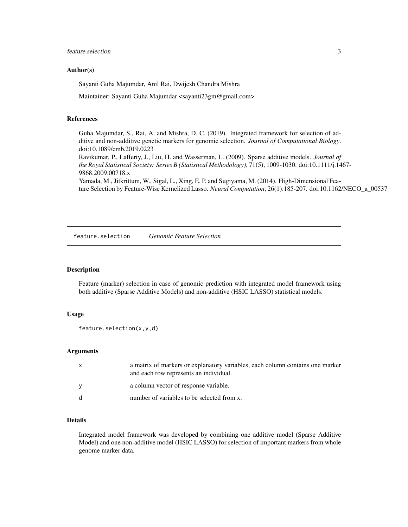#### <span id="page-2-0"></span>Author(s)

Sayanti Guha Majumdar, Anil Rai, Dwijesh Chandra Mishra

Maintainer: Sayanti Guha Majumdar <sayanti23gm@gmail.com>

#### References

Guha Majumdar, S., Rai, A. and Mishra, D. C. (2019). Integrated framework for selection of additive and non-additive genetic markers for genomic selection. *Journal of Computational Biology*. doi:10.1089/cmb.2019.0223

Ravikumar, P., Lafferty, J., Liu, H. and Wasserman, L. (2009). Sparse additive models. *Journal of the Royal Statistical Society: Series B (Statistical Methodology)*, 71(5), 1009-1030. doi:10.1111/j.1467- 9868.2009.00718.x

Yamada, M., Jitkrittum, W., Sigal, L., Xing, E. P. and Sugiyama, M. (2014). High-Dimensional Feature Selection by Feature-Wise Kernelized Lasso. *Neural Computation*, 26(1):185-207. doi:10.1162/NECO\_a\_00537

feature.selection *Genomic Feature Selection*

#### Description

Feature (marker) selection in case of genomic prediction with integrated model framework using both additive (Sparse Additive Models) and non-additive (HSIC LASSO) statistical models.

#### Usage

```
feature.selection(x,y,d)
```
#### Arguments

| $\mathsf{x}$ | a matrix of markers or explanatory variables, each column contains one marker<br>and each row represents an individual. |
|--------------|-------------------------------------------------------------------------------------------------------------------------|
|              | a column vector of response variable.                                                                                   |
| - d          | number of variables to be selected from x.                                                                              |

#### Details

Integrated model framework was developed by combining one additive model (Sparse Additive Model) and one non-additive model (HSIC LASSO) for selection of important markers from whole genome marker data.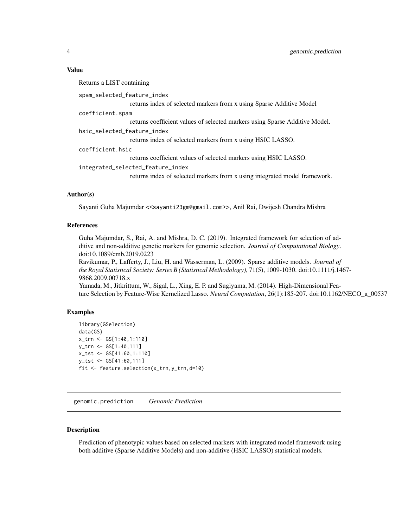#### <span id="page-3-0"></span>Value

Returns a LIST containing spam\_selected\_feature\_index returns index of selected markers from x using Sparse Additive Model coefficient.spam returns coefficient values of selected markers using Sparse Additive Model. hsic\_selected\_feature\_index returns index of selected markers from x using HSIC LASSO. coefficient.hsic returns coefficient values of selected markers using HSIC LASSO. integrated\_selected\_feature\_index returns index of selected markers from x using integrated model framework.

#### Author(s)

Sayanti Guha Majumdar <<sayanti23gm@gmail.com>>, Anil Rai, Dwijesh Chandra Mishra

#### References

Guha Majumdar, S., Rai, A. and Mishra, D. C. (2019). Integrated framework for selection of additive and non-additive genetic markers for genomic selection. *Journal of Computational Biology*. doi:10.1089/cmb.2019.0223

Ravikumar, P., Lafferty, J., Liu, H. and Wasserman, L. (2009). Sparse additive models. *Journal of the Royal Statistical Society: Series B (Statistical Methodology)*, 71(5), 1009-1030. doi:10.1111/j.1467- 9868.2009.00718.x

Yamada, M., Jitkrittum, W., Sigal, L., Xing, E. P. and Sugiyama, M. (2014). High-Dimensional Feature Selection by Feature-Wise Kernelized Lasso. *Neural Computation*, 26(1):185-207. doi:10.1162/NECO\_a\_00537

#### Examples

```
library(GSelection)
data(GS)
x_trn <- GS[1:40,1:110]
y_trn <- GS[1:40,111]
x_tst <- GS[41:60,1:110]
y_tst <- GS[41:60,111]
fit <- feature.selection(x_trn,y_trn,d=10)
```
genomic.prediction *Genomic Prediction*

#### **Description**

Prediction of phenotypic values based on selected markers with integrated model framework using both additive (Sparse Additive Models) and non-additive (HSIC LASSO) statistical models.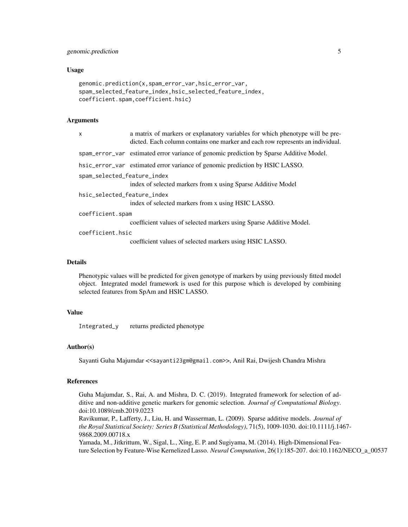#### Usage

```
genomic.prediction(x,spam_error_var,hsic_error_var,
spam_selected_feature_index,hsic_selected_feature_index,
coefficient.spam,coefficient.hsic)
```
#### Arguments

| X                           | a matrix of markers or explanatory variables for which phenotype will be pre-<br>dicted. Each column contains one marker and each row represents an individual. |  |
|-----------------------------|-----------------------------------------------------------------------------------------------------------------------------------------------------------------|--|
|                             | spam_error_var estimated error variance of genomic prediction by Sparse Additive Model.                                                                         |  |
|                             | hsic_error_var estimated error variance of genomic prediction by HSIC LASSO.                                                                                    |  |
| spam_selected_feature_index | index of selected markers from x using Sparse Additive Model                                                                                                    |  |
| hsic_selected_feature_index | index of selected markers from x using HSIC LASSO.                                                                                                              |  |
| coefficient.spam            |                                                                                                                                                                 |  |
|                             | coefficient values of selected markers using Sparse Additive Model.                                                                                             |  |
| coefficient.hsic            | coefficient values of selected markers using HSIC LASSO.                                                                                                        |  |

#### Details

Phenotypic values will be predicted for given genotype of markers by using previously fitted model object. Integrated model framework is used for this purpose which is developed by combining selected features from SpAm and HSIC LASSO.

#### Value

Integrated\_y returns predicted phenotype

#### Author(s)

Sayanti Guha Majumdar <<sayanti23gm@gmail.com>>, Anil Rai, Dwijesh Chandra Mishra

#### References

Guha Majumdar, S., Rai, A. and Mishra, D. C. (2019). Integrated framework for selection of additive and non-additive genetic markers for genomic selection. *Journal of Computational Biology*. doi:10.1089/cmb.2019.0223

Ravikumar, P., Lafferty, J., Liu, H. and Wasserman, L. (2009). Sparse additive models. *Journal of the Royal Statistical Society: Series B (Statistical Methodology)*, 71(5), 1009-1030. doi:10.1111/j.1467- 9868.2009.00718.x

Yamada, M., Jitkrittum, W., Sigal, L., Xing, E. P. and Sugiyama, M. (2014). High-Dimensional Feature Selection by Feature-Wise Kernelized Lasso. *Neural Computation*, 26(1):185-207. doi:10.1162/NECO\_a\_00537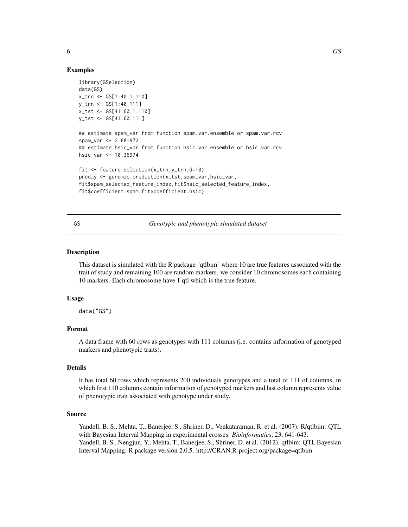#### Examples

```
library(GSelection)
data(GS)
x_trn <- GS[1:40,1:110]
y_trn <- GS[1:40,111]
x_tst <- GS[41:60,1:110]
y_tst <- GS[41:60,111]
## estimate spam_var from function spam.var.ensemble or spam.var.rcv
spam_var <- 2.681972
## estimate hsic_var from function hsic.var.ensemble or hsic.var.rcv
hsic_var <- 10.36974
fit <- feature.selection(x_trn,y_trn,d=10)
pred_y <- genomic.prediction(x_tst,spam_var,hsic_var,
fit$spam_selected_feature_index,fit$hsic_selected_feature_index,
fit$coefficient.spam,fit$coefficient.hsic)
```
GS *Genotypic and phenotypic simulated dataset*

#### Description

This dataset is simulated with the R package "qtlbim" where 10 are true features associated with the trait of study and remaining 100 are random markers. we consider 10 chromosomes each containing 10 markers. Each chromosome have 1 qtl which is the true feature.

#### Usage

data("GS")

#### Format

A data frame with 60 rows as genotypes with 111 columns (i.e. contains information of genotyped markers and phenotypic traits).

#### Details

It has total 60 rows which represents 200 individuals genotypes and a total of 111 of columns, in which first 110 columns contain information of genotyped markers and last column represents value of phenotypic trait associated with genotype under study.

#### Source

Yandell, B. S., Mehta, T., Banerjee, S., Shriner, D., Venkataraman, R. et al. (2007). R/qtlbim: QTL with Bayesian Interval Mapping in experimental crosses. *Bioinformatics*, 23, 641-643. Yandell, B. S., Nengjun, Y., Mehta, T., Banerjee, S., Shriner, D. et al. (2012). qtlbim: QTL Bayesian Interval Mapping. R package version 2.0.5. http://CRAN.R-project.org/package=qtlbim

<span id="page-5-0"></span>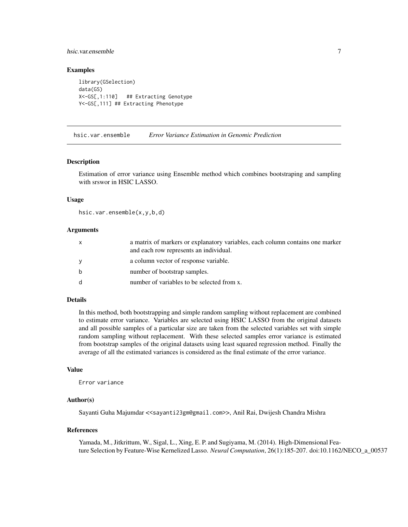#### <span id="page-6-0"></span>hsic.var.ensemble 7

#### Examples

library(GSelection) data(GS) X<-GS[,1:110] ## Extracting Genotype Y<-GS[,111] ## Extracting Phenotype

hsic.var.ensemble *Error Variance Estimation in Genomic Prediction*

#### Description

Estimation of error variance using Ensemble method which combines bootstraping and sampling with srswor in HSIC LASSO.

#### Usage

hsic.var.ensemble(x,y,b,d)

#### Arguments

| $\mathsf{x}$ | a matrix of markers or explanatory variables, each column contains one marker<br>and each row represents an individual. |
|--------------|-------------------------------------------------------------------------------------------------------------------------|
| <b>y</b>     | a column vector of response variable.                                                                                   |
| b            | number of bootstrap samples.                                                                                            |
| <sub>d</sub> | number of variables to be selected from x.                                                                              |

#### Details

In this method, both bootstrapping and simple random sampling without replacement are combined to estimate error variance. Variables are selected using HSIC LASSO from the original datasets and all possible samples of a particular size are taken from the selected variables set with simple random sampling without replacement. With these selected samples error variance is estimated from bootstrap samples of the original datasets using least squared regression method. Finally the average of all the estimated variances is considered as the final estimate of the error variance.

#### Value

Error variance

#### Author(s)

Sayanti Guha Majumdar <<sayanti23gm@gmail.com>>, Anil Rai, Dwijesh Chandra Mishra

#### References

Yamada, M., Jitkrittum, W., Sigal, L., Xing, E. P. and Sugiyama, M. (2014). High-Dimensional Feature Selection by Feature-Wise Kernelized Lasso. *Neural Computation*, 26(1):185-207. doi:10.1162/NECO\_a\_00537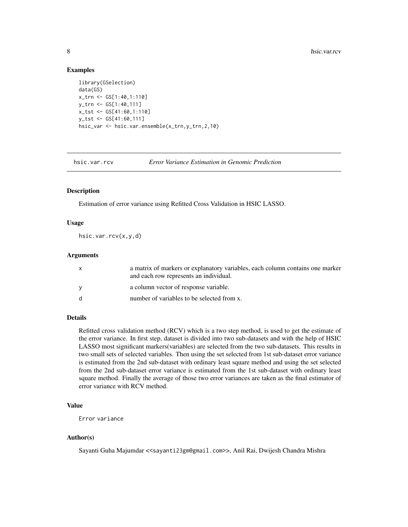#### Examples

```
library(GSelection)
data(GS)
x_trn <- GS[1:40,1:110]
y_trn <- GS[1:40,111]
x_tst <- GS[41:60,1:110]
y_tst <- GS[41:60,111]
hsic_var <- hsic.var.ensemble(x_trn,y_trn,2,10)
```
hsic.var.rcv *Error Variance Estimation in Genomic Prediction*

#### Description

Estimation of error variance using Refitted Cross Validation in HSIC LASSO.

#### Usage

hsic.var.rcv(x,y,d)

#### Arguments

| $\mathsf{x}$ | a matrix of markers or explanatory variables, each column contains one marker<br>and each row represents an individual. |
|--------------|-------------------------------------------------------------------------------------------------------------------------|
| V            | a column vector of response variable.                                                                                   |
| <sub>d</sub> | number of variables to be selected from x.                                                                              |

#### Details

Refitted cross validation method (RCV) which is a two step method, is used to get the estimate of the error variance. In first step, dataset is divided into two sub-datasets and with the help of HSIC LASSO most significant markers(variables) are selected from the two sub-datasets. This results in two small sets of selected variables. Then using the set selected from 1st sub-dataset error variance is estimated from the 2nd sub-dataset with ordinary least square method and using the set selected from the 2nd sub-dataset error variance is estimated from the 1st sub-dataset with ordinary least square method. Finally the average of those two error variances are taken as the final estimator of error variance with RCV method.

#### Value

Error variance

#### Author(s)

Sayanti Guha Majumdar <<sayanti23gm@gmail.com>>, Anil Rai, Dwijesh Chandra Mishra

<span id="page-7-0"></span>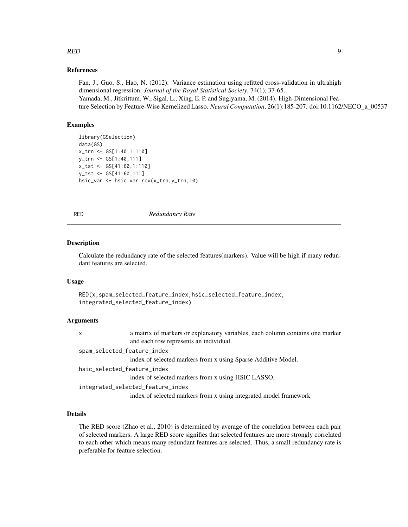# <span id="page-8-0"></span>RED 9

#### References

Fan, J., Guo, S., Hao, N. (2012). Variance estimation using refitted cross-validation in ultrahigh dimensional regression. *Journal of the Royal Statistical Society*, 74(1), 37-65. Yamada, M., Jitkrittum, W., Sigal, L., Xing, E. P. and Sugiyama, M. (2014). High-Dimensional Feature Selection by Feature-Wise Kernelized Lasso. *Neural Computation*, 26(1):185-207. doi:10.1162/NECO\_a\_00537

#### Examples

```
library(GSelection)
data(GS)
x_trn <- GS[1:40,1:110]
y_trn <- GS[1:40,111]
x_tst <- GS[41:60,1:110]
y_tst <- GS[41:60,111]
hsic_var <- hsic.var.rcv(x_trn,y_trn,10)
```
RED *Redundancy Rate*

#### Description

Calculate the redundancy rate of the selected features(markers). Value will be high if many redundant features are selected.

#### Usage

```
RED(x,spam_selected_feature_index,hsic_selected_feature_index,
integrated_selected_feature_index)
```
#### Arguments

| $\mathsf{x}$                | a matrix of markers or explanatory variables, each column contains one marker |
|-----------------------------|-------------------------------------------------------------------------------|
|                             | and each row represents an individual.                                        |
| spam_selected_feature_index |                                                                               |
|                             | index of selected markers from x using Sparse Additive Model.                 |
| hsic_selected_feature_index |                                                                               |
|                             | index of selected markers from x using HSIC LASSO.                            |
|                             | integrated_selected_feature_index                                             |
|                             | index of selected markers from x using integrated model framework             |

#### Details

The RED score (Zhao et al., 2010) is determined by average of the correlation between each pair of selected markers. A large RED score signifies that selected features are more strongly correlated to each other which means many redundant features are selected. Thus, a small redundancy rate is preferable for feature selection.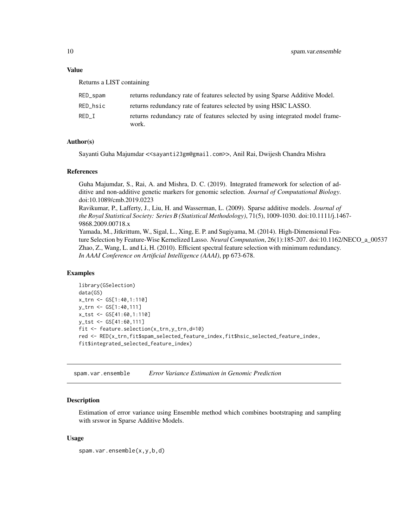#### <span id="page-9-0"></span>Value

Returns a LIST containing

| RED_spam | returns redundancy rate of features selected by using Sparse Additive Model.           |
|----------|----------------------------------------------------------------------------------------|
| RED hsic | returns redundancy rate of features selected by using HSIC LASSO.                      |
| RED I    | returns redundancy rate of features selected by using integrated model frame-<br>work. |

#### Author(s)

Sayanti Guha Majumdar <<sayanti23gm@gmail.com>>, Anil Rai, Dwijesh Chandra Mishra

#### References

Guha Majumdar, S., Rai, A. and Mishra, D. C. (2019). Integrated framework for selection of additive and non-additive genetic markers for genomic selection. *Journal of Computational Biology*. doi:10.1089/cmb.2019.0223 Ravikumar, P., Lafferty, J., Liu, H. and Wasserman, L. (2009). Sparse additive models. *Journal of the Royal Statistical Society: Series B (Statistical Methodology)*, 71(5), 1009-1030. doi:10.1111/j.1467- 9868.2009.00718.x Yamada, M., Jitkrittum, W., Sigal, L., Xing, E. P. and Sugiyama, M. (2014). High-Dimensional Feature Selection by Feature-Wise Kernelized Lasso. *Neural Computation*, 26(1):185-207. doi:10.1162/NECO\_a\_00537 Zhao, Z., Wang, L. and Li, H. (2010). Efficient spectral feature selection with minimum redundancy.

#### Examples

```
library(GSelection)
data(GS)
x_trn <- GS[1:40,1:110]
y_trn <- GS[1:40,111]
x_tst <- GS[41:60,1:110]
y_tst <- GS[41:60,111]
fit <- feature.selection(x_trn,y_trn,d=10)
red <- RED(x_trn,fit$spam_selected_feature_index,fit$hsic_selected_feature_index,
fit$integrated_selected_feature_index)
```
spam.var.ensemble *Error Variance Estimation in Genomic Prediction*

*In AAAI Conference on Artificial Intelligence (AAAI)*, pp 673-678.

#### **Description**

Estimation of error variance using Ensemble method which combines bootstraping and sampling with srswor in Sparse Additive Models.

#### Usage

```
spam.var.ensemble(x,y,b,d)
```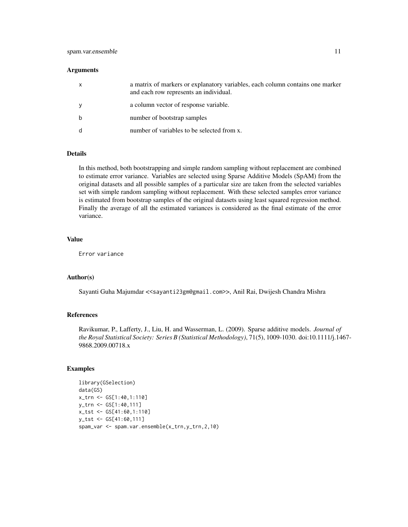#### **Arguments**

| a matrix of markers or explanatory variables, each column contains one marker<br>and each row represents an individual. |
|-------------------------------------------------------------------------------------------------------------------------|
| a column vector of response variable.                                                                                   |
| number of bootstrap samples                                                                                             |
| number of variables to be selected from x.                                                                              |

#### Details

In this method, both bootstrapping and simple random sampling without replacement are combined to estimate error variance. Variables are selected using Sparse Additive Models (SpAM) from the original datasets and all possible samples of a particular size are taken from the selected variables set with simple random sampling without replacement. With these selected samples error variance is estimated from bootstrap samples of the original datasets using least squared regression method. Finally the average of all the estimated variances is considered as the final estimate of the error variance.

#### Value

Error variance

#### Author(s)

Sayanti Guha Majumdar <<sayanti23gm@gmail.com>>, Anil Rai, Dwijesh Chandra Mishra

#### References

Ravikumar, P., Lafferty, J., Liu, H. and Wasserman, L. (2009). Sparse additive models. *Journal of the Royal Statistical Society: Series B (Statistical Methodology)*, 71(5), 1009-1030. doi:10.1111/j.1467- 9868.2009.00718.x

#### Examples

```
library(GSelection)
data(GS)
x_trn <- GS[1:40,1:110]
y_trn <- GS[1:40,111]
x_tst <- GS[41:60,1:110]
y_tst <- GS[41:60,111]
spam_var <- spam.var.ensemble(x_trn,y_trn,2,10)
```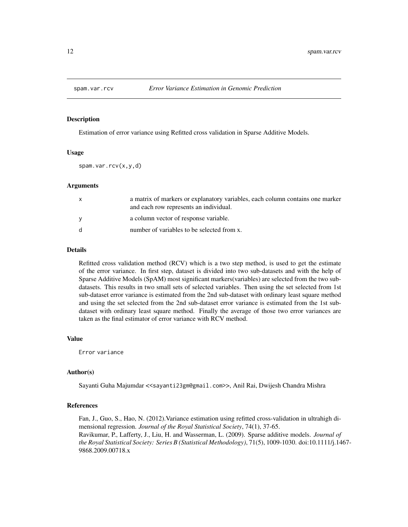<span id="page-11-0"></span>

#### Description

Estimation of error variance using Refitted cross validation in Sparse Additive Models.

#### Usage

spam.var.rcv(x,y,d)

#### Arguments

| X            | a matrix of markers or explanatory variables, each column contains one marker<br>and each row represents an individual. |
|--------------|-------------------------------------------------------------------------------------------------------------------------|
| <b>V</b>     | a column vector of response variable.                                                                                   |
| <sub>d</sub> | number of variables to be selected from x.                                                                              |

#### Details

Refitted cross validation method (RCV) which is a two step method, is used to get the estimate of the error variance. In first step, dataset is divided into two sub-datasets and with the help of Sparse Additive Models (SpAM) most significant markers(variables) are selected from the two subdatasets. This results in two small sets of selected variables. Then using the set selected from 1st sub-dataset error variance is estimated from the 2nd sub-dataset with ordinary least square method and using the set selected from the 2nd sub-dataset error variance is estimated from the 1st subdataset with ordinary least square method. Finally the average of those two error variances are taken as the final estimator of error variance with RCV method.

#### Value

Error variance

#### Author(s)

Sayanti Guha Majumdar <<sayanti23gm@gmail.com>>, Anil Rai, Dwijesh Chandra Mishra

#### References

Fan, J., Guo, S., Hao, N. (2012).Variance estimation using refitted cross-validation in ultrahigh dimensional regression. *Journal of the Royal Statistical Society*, 74(1), 37-65. Ravikumar, P., Lafferty, J., Liu, H. and Wasserman, L. (2009). Sparse additive models. *Journal of the Royal Statistical Society: Series B (Statistical Methodology)*, 71(5), 1009-1030. doi:10.1111/j.1467- 9868.2009.00718.x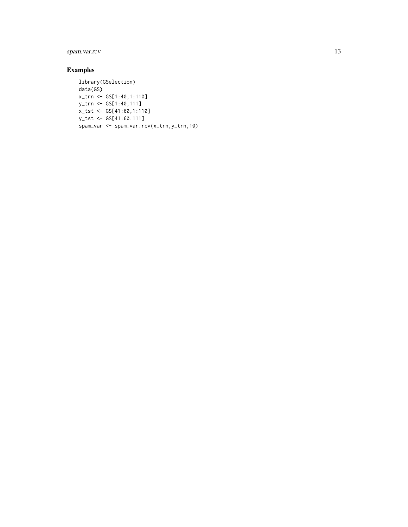### spam.var.rcv 13

#### Examples

```
library(GSelection)
data(GS)
x_trn <- GS[1:40,1:110]
y_trn <- GS[1:40,111]
x_tst <- GS[41:60,1:110]
y_tst <- GS[41:60,111]
spam_var <- spam.var.rcv(x_trn,y_trn,10)
```